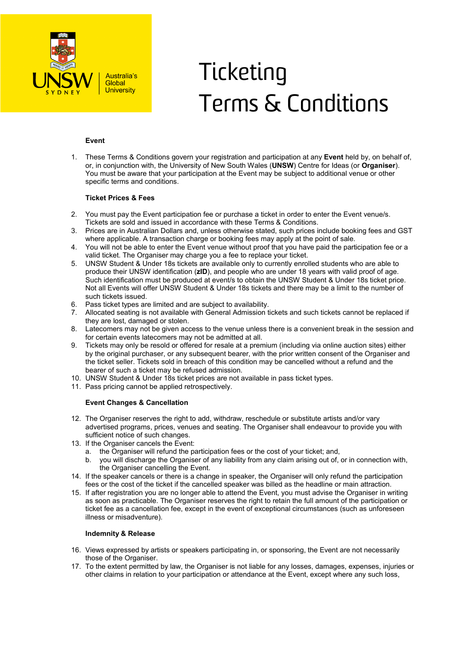

# **Ticketing** Terms & Conditions

## **Event**

1. These Terms & Conditions govern your registration and participation at any **Event** held by, on behalf of, or, in conjunction with, the University of New South Wales (**UNSW**) Centre for Ideas (or **Organiser**). You must be aware that your participation at the Event may be subject to additional venue or other specific terms and conditions.

## **Ticket Prices & Fees**

- 2. You must pay the Event participation fee or purchase a ticket in order to enter the Event venue/s. Tickets are sold and issued in accordance with these Terms & Conditions.
- 3. Prices are in Australian Dollars and, unless otherwise stated, such prices include booking fees and GST where applicable. A transaction charge or booking fees may apply at the point of sale.
- 4. You will not be able to enter the Event venue without proof that you have paid the participation fee or a valid ticket. The Organiser may charge you a fee to replace your ticket.
- 5. UNSW Student & Under 18s tickets are available only to currently enrolled students who are able to produce their UNSW identification (**zID**), and people who are under 18 years with valid proof of age. Such identification must be produced at event/s to obtain the UNSW Student & Under 18s ticket price. Not all Events will offer UNSW Student & Under 18s tickets and there may be a limit to the number of such tickets issued.
- 6. Pass ticket types are limited and are subject to availability.
- 7. Allocated seating is not available with General Admission tickets and such tickets cannot be replaced if they are lost, damaged or stolen.
- 8. Latecomers may not be given access to the venue unless there is a convenient break in the session and for certain events latecomers may not be admitted at all.
- 9. Tickets may only be resold or offered for resale at a premium (including via online auction sites) either by the original purchaser, or any subsequent bearer, with the prior written consent of the Organiser and the ticket seller. Tickets sold in breach of this condition may be cancelled without a refund and the bearer of such a ticket may be refused admission.
- 10. UNSW Student & Under 18s ticket prices are not available in pass ticket types.
- 11. Pass pricing cannot be applied retrospectively.

### **Event Changes & Cancellation**

- 12. The Organiser reserves the right to add, withdraw, reschedule or substitute artists and/or vary advertised programs, prices, venues and seating. The Organiser shall endeavour to provide you with sufficient notice of such changes.
- 13. If the Organiser cancels the Event:
	- a. the Organiser will refund the participation fees or the cost of your ticket; and,
	- you will discharge the Organiser of any liability from any claim arising out of, or in connection with, the Organiser cancelling the Event.
- 14. If the speaker cancels or there is a change in speaker, the Organiser will only refund the participation fees or the cost of the ticket if the cancelled speaker was billed as the headline or main attraction.
- 15. If after registration you are no longer able to attend the Event, you must advise the Organiser in writing as soon as practicable. The Organiser reserves the right to retain the full amount of the participation or ticket fee as a cancellation fee, except in the event of exceptional circumstances (such as unforeseen illness or misadventure).

#### **Indemnity & Release**

- 16. Views expressed by artists or speakers participating in, or sponsoring, the Event are not necessarily those of the Organiser.
- 17. To the extent permitted by law, the Organiser is not liable for any losses, damages, expenses, injuries or other claims in relation to your participation or attendance at the Event, except where any such loss,